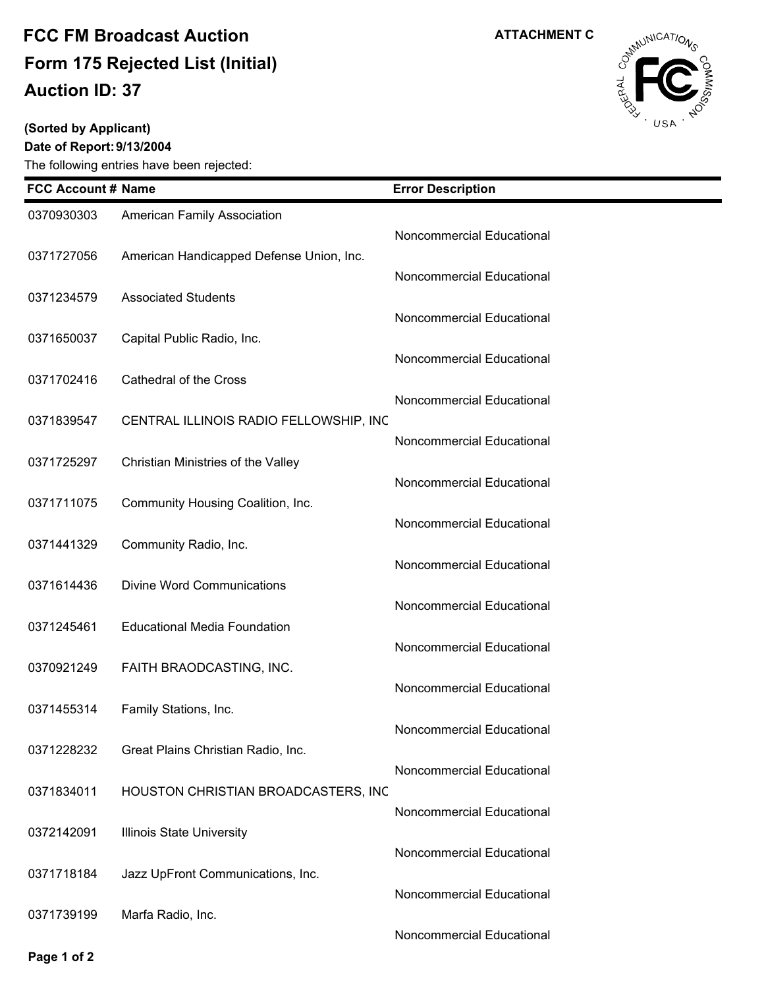## **Auction ID: 37 Form 175 Rejected List (Initial) FCC FM Broadcast Auction**

## **(Sorted by Applicant)**

**Date of Report:9/13/2004**

The following entries have been rejected:



| <b>FCC Account # Name</b> |                                          | <b>Error Description</b>  |
|---------------------------|------------------------------------------|---------------------------|
| 0370930303                | American Family Association              |                           |
|                           |                                          | Noncommercial Educational |
| 0371727056                | American Handicapped Defense Union, Inc. | Noncommercial Educational |
| 0371234579                | <b>Associated Students</b>               |                           |
|                           |                                          | Noncommercial Educational |
| 0371650037                | Capital Public Radio, Inc.               | Noncommercial Educational |
| 0371702416                | Cathedral of the Cross                   |                           |
| 0371839547                | CENTRAL ILLINOIS RADIO FELLOWSHIP, INC   | Noncommercial Educational |
|                           |                                          | Noncommercial Educational |
| 0371725297                | Christian Ministries of the Valley       |                           |
| 0371711075                | Community Housing Coalition, Inc.        | Noncommercial Educational |
|                           |                                          | Noncommercial Educational |
| 0371441329                | Community Radio, Inc.                    |                           |
| 0371614436                | <b>Divine Word Communications</b>        | Noncommercial Educational |
|                           |                                          | Noncommercial Educational |
| 0371245461                | <b>Educational Media Foundation</b>      |                           |
| 0370921249                | FAITH BRAODCASTING, INC.                 | Noncommercial Educational |
|                           |                                          | Noncommercial Educational |
| 0371455314                | Family Stations, Inc.                    |                           |
| 0371228232                | Great Plains Christian Radio, Inc.       | Noncommercial Educational |
|                           |                                          | Noncommercial Educational |
| 0371834011                | HOUSTON CHRISTIAN BROADCASTERS, INC      |                           |
| 0372142091                | <b>Illinois State University</b>         | Noncommercial Educational |
|                           |                                          | Noncommercial Educational |
| 0371718184                | Jazz UpFront Communications, Inc.        |                           |
| 0371739199                | Marfa Radio, Inc.                        | Noncommercial Educational |
|                           |                                          | Noncommercial Educational |